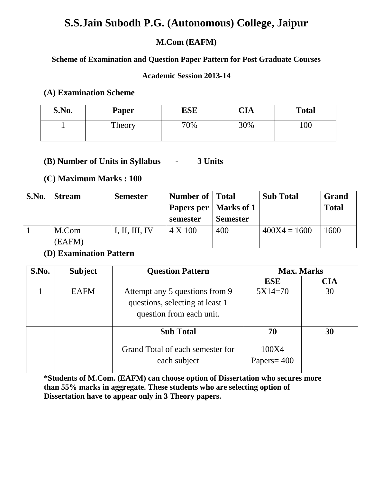# **S.S.Jain Subodh P.G. (Autonomous) College, Jaipur**

# **M.Com (EAFM)**

# **Scheme of Examination and Question Paper Pattern for Post Graduate Courses**

# **Academic Session 2013-14**

# **(A) Examination Scheme**

| S.No. | Paper  | ESE | NT 1<br>UА | <b>Total</b> |
|-------|--------|-----|------------|--------------|
|       | Theory | 70% | 30%        | 100          |

# **(B) Number of Units in Syllabus - 3 Units**

# **(C) Maximum Marks : 100**

| S.No. | <b>Stream</b> | <b>Semester</b> | Number of Total         |                 | <b>Sub Total</b> | <b>Grand</b> |
|-------|---------------|-----------------|-------------------------|-----------------|------------------|--------------|
|       |               |                 | Papers per   Marks of 1 |                 |                  | <b>Total</b> |
|       |               |                 | semester                | <b>Semester</b> |                  |              |
|       | M.Com         | I, II, III, IV  | 4 X 100                 | 400             | $400X4 = 1600$   | 1600         |
|       | (EAFM)        |                 |                         |                 |                  |              |

# **(D) Examination Pattern**

| S.No. | <b>Subject</b> | <b>Question Pattern</b>          | <b>Max. Marks</b> |            |
|-------|----------------|----------------------------------|-------------------|------------|
|       |                |                                  | <b>ESE</b>        | <b>CIA</b> |
|       | <b>EAFM</b>    | Attempt any 5 questions from 9   | $5X14=70$         | 30         |
|       |                | questions, selecting at least 1  |                   |            |
|       |                | question from each unit.         |                   |            |
|       |                | <b>Sub Total</b>                 | 70                | 30         |
|       |                | Grand Total of each semester for | 100X4             |            |
|       |                | each subject                     | Papers = $400$    |            |

**\*Students of M.Com. (EAFM) can choose option of Dissertation who secures more than 55% marks in aggregate. These students who are selecting option of Dissertation have to appear only in 3 Theory papers.**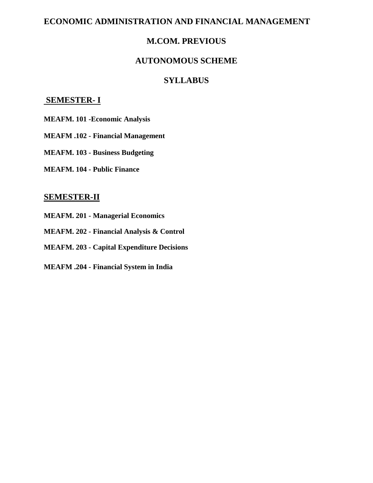# **ECONOMIC ADMINISTRATION AND FINANCIAL MANAGEMENT**

# **M.COM. PREVIOUS**

# **AUTONOMOUS SCHEME**

# **SYLLABUS**

# **SEMESTER- I**

- **MEAFM. 101 -Economic Analysis**
- **MEAFM .102 - Financial Management**
- **MEAFM. 103 - Business Budgeting**
- **MEAFM. 104 - Public Finance**

# **SEMESTER-II**

- **MEAFM. 201 - Managerial Economics**
- **MEAFM. 202 - Financial Analysis & Control**
- **MEAFM. 203 - Capital Expenditure Decisions**
- **MEAFM .204 - Financial System in India**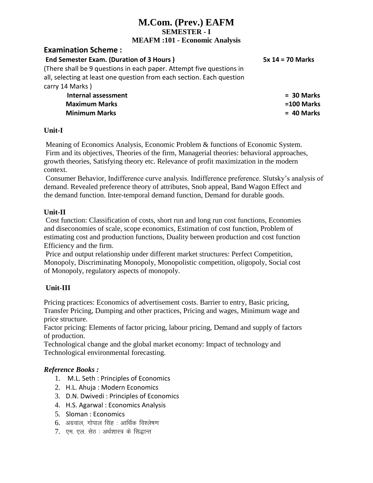# **M.Com. (Prev.) EAFM SEMESTER - I MEAFM :101 - Economic Analysis**

# **Examination Scheme :**

**End Semester Exam. (Duration of 3 Hours ) 5x 14 = 70 Marks** 

(There shall be 9 questions in each paper. Attempt five questions in all, selecting at least one question from each section. Each question carry 14 Marks )

 **Internal assessment = 30 Marks Maximum Marks =100 Marks Minimum Marks = 40 Marks**

# **Unit-I**

Meaning of Economics Analysis, Economic Problem & functions of Economic System. Firm and its objectives, Theories of the firm, Managerial theories: behavioral approaches, growth theories, Satisfying theory etc. Relevance of profit maximization in the modern context.

Consumer Behavior, Indifference curve analysis. Indifference preference. Slutsky's analysis of demand. Revealed preference theory of attributes, Snob appeal, Band Wagon Effect and the demand function. Inter-temporal demand function, Demand for durable goods.

# **Unit-II**

Cost function: Classification of costs, short run and long run cost functions, Economies and diseconomies of scale, scope economics, Estimation of cost function, Problem of estimating cost and production functions, Duality between production and cost function Efficiency and the firm.

Price and output relationship under different market structures: Perfect Competition, Monopoly, Discriminating Monopoly, Monopolistic competition, oligopoly, Social cost of Monopoly, regulatory aspects of monopoly.

# **Unit-III**

Pricing practices: Economics of advertisement costs. Barrier to entry, Basic pricing, Transfer Pricing, Dumping and other practices, Pricing and wages, Minimum wage and price structure.

Factor pricing: Elements of factor pricing, labour pricing, Demand and supply of factors of production.

Technological change and the global market economy: Impact of technology and Technological environmental forecasting.

- 1. M.L. Seth : Principles of Economics
- 2. H.L. Ahuja : Modern Economics
- 3. D.N. Dwivedi : Principles of Economics
- 4. H.S. Agarwal : Economics Analysis
- 5. Sloman : Economics
- $6.$  अग्रवाल, गोपाल सिंह : आर्थिक विश्लेषण
- 7. एम. एल. सेठ : अर्थशास्त्र के सिद्धान्त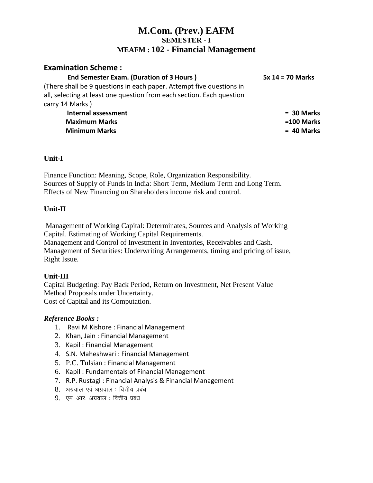# **M.Com. (Prev.) EAFM SEMESTER - I MEAFM : 102 - Financial Management**

# **Examination Scheme :**

**End Semester Exam. (Duration of 3 Hours ) 5x 14 = 70 Marks** 

(There shall be 9 questions in each paper. Attempt five questions in all, selecting at least one question from each section. Each question carry 14 Marks )

 **Internal assessment = 30 Marks Maximum Marks =100 Marks Minimum Marks = 40 Marks**

# **Unit-I**

Finance Function: Meaning, Scope, Role, Organization Responsibility. Sources of Supply of Funds in India: Short Term, Medium Term and Long Term. Effects of New Financing on Shareholders income risk and control.

# **Unit-II**

Management of Working Capital: Determinates, Sources and Analysis of Working Capital. Estimating of Working Capital Requirements. Management and Control of Investment in Inventories, Receivables and Cash. Management of Securities: Underwriting Arrangements, timing and pricing of issue, Right Issue.

# **Unit-III**

Capital Budgeting: Pay Back Period, Return on Investment, Net Present Value Method Proposals under Uncertainty. Cost of Capital and its Computation.

- 1. Ravi M Kishore : Financial Management
- 2. Khan, Jain : Financial Management
- 3. Kapil : Financial Management
- 4. S.N. Maheshwari : Financial Management
- 5. P.C. Tulsian : Financial Management
- 6. Kapil : Fundamentals of Financial Management
- 7. R.P. Rustagi : Financial Analysis & Financial Management
- $8.$  अग्रवाल एवं अग्रवाल : वित्तीय प्रबंध
- 9. एम. आर. अग्रवाल : वित्तीय प्रबंध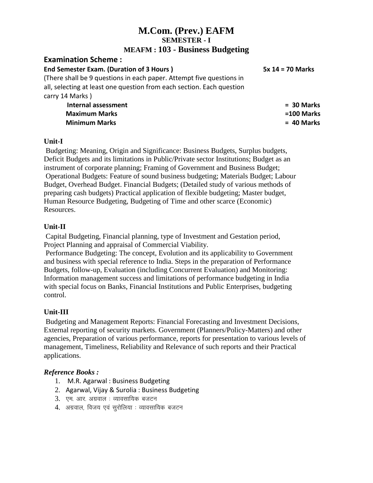# **M.Com. (Prev.) EAFM SEMESTER - I MEAFM : 103 - Business Budgeting**

# **Examination Scheme :**

**End Semester Exam. (Duration of 3 Hours ) 5x 14 = 70 Marks** 

(There shall be 9 questions in each paper. Attempt five questions in all, selecting at least one question from each section. Each question carry 14 Marks )

> **Internal assessment = 30 Marks Maximum Marks =100 Marks Minimum Marks = 40 Marks**

# **Unit-I**

Budgeting: Meaning, Origin and Significance: Business Budgets, Surplus budgets, Deficit Budgets and its limitations in Public/Private sector Institutions; Budget as an instrument of corporate planning; Framing of Government and Business Budget; Operational Budgets: Feature of sound business budgeting; Materials Budget; Labour Budget, Overhead Budget. Financial Budgets; (Detailed study of various methods of preparing cash budgets) Practical application of flexible budgeting; Master budget, Human Resource Budgeting, Budgeting of Time and other scarce (Economic) Resources.

# **Unit-II**

Capital Budgeting, Financial planning, type of Investment and Gestation period, Project Planning and appraisal of Commercial Viability.

Performance Budgeting: The concept, Evolution and its applicability to Government and business with special reference to India. Steps in the preparation of Performance Budgets, follow-up, Evaluation (including Concurrent Evaluation) and Monitoring: Information management success and limitations of performance budgeting in India with special focus on Banks, Financial Institutions and Public Enterprises, budgeting control.

# **Unit-III**

Budgeting and Management Reports: Financial Forecasting and Investment Decisions, External reporting of security markets. Government (Planners/Policy-Matters) and other agencies, Preparation of various performance, reports for presentation to various levels of management, Timeliness, Reliability and Relevance of such reports and their Practical applications.

- 1. M.R. Agarwal : Business Budgeting
- 2. Agarwal, Vijay & Surolia : Business Budgeting
- $3.$  एम. आर. अग्रवाल : व्यावसायिक बजटन
- 4. अग्रवाल, विजय एवं सरोलिया : व्यावसायिक बजटन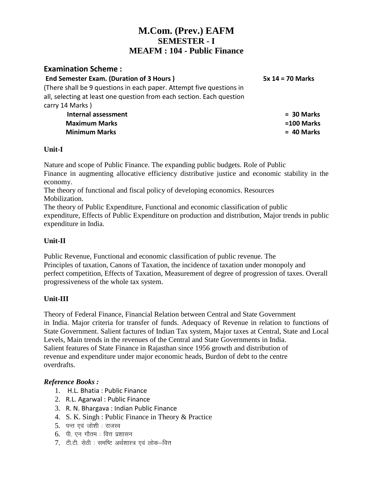# **M.Com. (Prev.) EAFM SEMESTER - I MEAFM : 104 - Public Finance**

# **Examination Scheme :**

| <b>End Semester Exam. (Duration of 3 Hours)</b>                       | $5x$ 14 = 70 Marks |
|-----------------------------------------------------------------------|--------------------|
| (There shall be 9 questions in each paper. Attempt five questions in  |                    |
| all, selecting at least one question from each section. Each question |                    |
| carry 14 Marks)                                                       |                    |
| <b>Internal assessment</b>                                            | $= 30$ Marks       |
| <b>Maximum Marks</b>                                                  | =100 Marks         |
| <b>Minimum Marks</b>                                                  | $= 40$ Marks       |
|                                                                       |                    |

# **Unit-I**

Nature and scope of Public Finance. The expanding public budgets. Role of Public Finance in augmenting allocative efficiency distributive justice and economic stability in the economy.

The theory of functional and fiscal policy of developing economics. Resources Mobilization.

The theory of Public Expenditure, Functional and economic classification of public expenditure, Effects of Public Expenditure on production and distribution, Major trends in public expenditure in India.

# **Unit-II**

Public Revenue, Functional and economic classification of public revenue. The Principles of taxation, Canons of Taxation, the incidence of taxation under monopoly and perfect competition, Effects of Taxation, Measurement of degree of progression of taxes. Overall progressiveness of the whole tax system.

# **Unit-III**

Theory of Federal Finance, Financial Relation between Central and State Government in India. Major criteria for transfer of funds. Adequacy of Revenue in relation to functions of State Government. Salient factures of Indian Tax system, Major taxes at Central, State and Local Levels, Main trends in the revenues of the Central and State Governments in India. Salient features of State Finance in Rajasthan since 1956 growth and distribution of revenue and expenditure under major economic heads, Burdon of debt to the centre overdrafts.

- 1. H.L. Bhatia : Public Finance
- 2. R.L. Agarwal : Public Finance
- 3. R. N. Bhargava : Indian Public Finance
- 4. S. K. Singh : Public Finance in Theory & Practice
- $5.$  पन्त एवं जोशी : राजस्व
- $6.$  पीएन गौतम: वित्त प्रशासन
- $7.$  टी.टी. सेठी : समष्टि अर्थशास्त्र एवं लोक-वित्त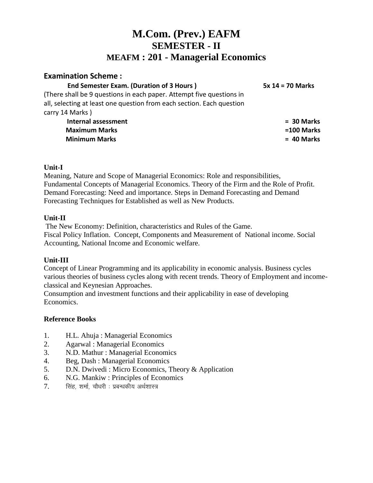# **M.Com. (Prev.) EAFM SEMESTER - II MEAFM : 201 - Managerial Economics**

# **Examination Scheme :**

# **End Semester Exam. (Duration of 3 Hours ) 5x 14 = 70 Marks**

(There shall be 9 questions in each paper. Attempt five questions in all, selecting at least one question from each section. Each question carry 14 Marks )

 **Internal assessment = 30 Marks Maximum Marks =100 Marks Minimum Marks = 40 Marks**

# **Unit-I**

Meaning, Nature and Scope of Managerial Economics: Role and responsibilities, Fundamental Concepts of Managerial Economics. Theory of the Firm and the Role of Profit. Demand Forecasting: Need and importance. Steps in Demand Forecasting and Demand Forecasting Techniques for Established as well as New Products.

# **Unit-II**

The New Economy: Definition, characteristics and Rules of the Game. Fiscal Policy Inflation. Concept, Components and Measurement of National income. Social Accounting, National Income and Economic welfare.

# **Unit-III**

Concept of Linear Programming and its applicability in economic analysis. Business cycles various theories of business cycles along with recent trends. Theory of Employment and incomeclassical and Keynesian Approaches.

Consumption and investment functions and their applicability in ease of developing Economics.

- 1. H.L. Ahuja : Managerial Economics
- 2. Agarwal : Managerial Economics
- 3. N.D. Mathur : Managerial Economics
- 4. Beg, Dash : Managerial Economics
- 5. D.N. Dwivedi : Micro Economics, Theory & Application
- 6. N.G. Mankiw : Principles of Economics
- $7.$  सिंह शर्मा चौधरी : प्रबन्धकीय अर्थशास्त्र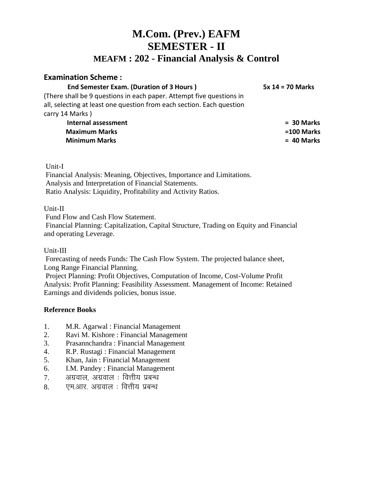# **M.Com. (Prev.) EAFM SEMESTER - II MEAFM : 202 - Financial Analysis & Control**

# **Examination Scheme :**

**End Semester Exam. (Duration of 3 Hours ) 5x 14 = 70 Marks** 

(There shall be 9 questions in each paper. Attempt five questions in all, selecting at least one question from each section. Each question carry 14 Marks )

 **Internal assessment = 30 Marks Maximum Marks =100 Marks Minimum Marks = 40 Marks**

Unit-I

Financial Analysis: Meaning, Objectives, Importance and Limitations. Analysis and Interpretation of Financial Statements. Ratio Analysis: Liquidity, Profitability and Activity Ratios.

# Unit-II

Fund Flow and Cash Flow Statement.

Financial Planning: Capitalization, Capital Structure, Trading on Equity and Financial and operating Leverage.

#### Unit-III

Forecasting of needs Funds: The Cash Flow System. The projected balance sheet, Long Range Financial Planning.

Project Planning: Profit Objectives, Computation of Income, Cost-Volume Profit Analysis: Profit Planning: Feasibility Assessment. Management of Income: Retained Earnings and dividends policies, bonus issue.

- 1. M.R. Agarwal : Financial Management
- 2. Ravi M. Kishore : Financial Management
- 3. Prasannchandra : Financial Management
- 4. R.P. Rustagi : Financial Management
- 5. Khan, Jain : Financial Management
- 6. I.M. Pandey : Financial Management
- $7.$  अग्रवाल, अग्रवाल : वित्तीय प्रबन्ध
- 8. एम.आर. अग्रवाल : वित्तीय प्रबन्ध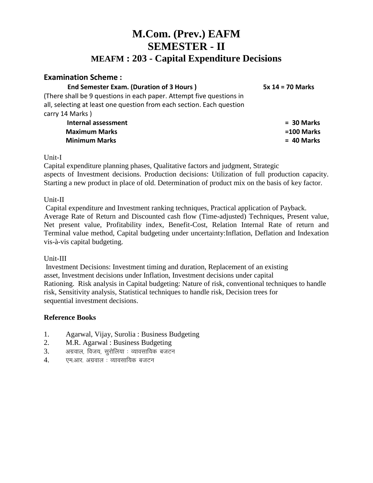# **M.Com. (Prev.) EAFM SEMESTER - II MEAFM : 203 - Capital Expenditure Decisions**

# **Examination Scheme :**

**End Semester Exam. (Duration of 3 Hours ) 5x 14 = 70 Marks** 

(There shall be 9 questions in each paper. Attempt five questions in all, selecting at least one question from each section. Each question carry 14 Marks )

> **Internal assessment = 30 Marks Maximum Marks =100 Marks Minimum Marks = 40 Marks**

Unit-I

Capital expenditure planning phases, Qualitative factors and judgment, Strategic aspects of Investment decisions. Production decisions: Utilization of full production capacity. Starting a new product in place of old. Determination of product mix on the basis of key factor.

# Unit-II

Capital expenditure and Investment ranking techniques, Practical application of Payback. Average Rate of Return and Discounted cash flow (Time-adjusted) Techniques, Present value, Net present value, Profitability index, Benefit-Cost, Relation Internal Rate of return and Terminal value method, Capital budgeting under uncertainty:Inflation, Deflation and Indexation vis-à-vis capital budgeting.

# Unit-III

Investment Decisions: Investment timing and duration, Replacement of an existing asset, Investment decisions under Inflation, Investment decisions under capital Rationing. Risk analysis in Capital budgeting: Nature of risk, conventional techniques to handle risk, Sensitivity analysis, Statistical techniques to handle risk, Decision trees for sequential investment decisions.

- 1. Agarwal, Vijay, Surolia : Business Budgeting
- 2. M.R. Agarwal : Business Budgeting
- $3.$   $3.$  अग्रवाल, विजय, सुरोलिया : व्यावसायिक बजटन
- $4.$  एमआर अग्रवाल : व्यावसायिक बजटन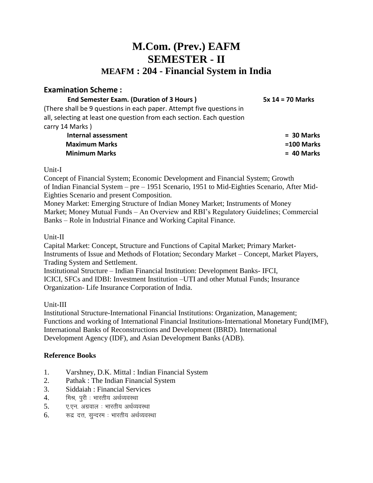# **M.Com. (Prev.) EAFM SEMESTER - II MEAFM : 204 - Financial System in India**

# **Examination Scheme :**

#### **End Semester Exam. (Duration of 3 Hours ) 5x 14 = 70 Marks**

(There shall be 9 questions in each paper. Attempt five questions in all, selecting at least one question from each section. Each question carry 14 Marks )

 **Internal assessment = 30 Marks Maximum Marks =100 Marks Minimum Marks = 40 Marks**

### Unit-I

Concept of Financial System; Economic Development and Financial System; Growth of Indian Financial System – pre – 1951 Scenario, 1951 to Mid-Eighties Scenario, After Mid-Eighties Scenario and present Composition.

Money Market: Emerging Structure of Indian Money Market; Instruments of Money Market; Money Mutual Funds – An Overview and RBI's Regulatory Guidelines; Commercial Banks – Role in Industrial Finance and Working Capital Finance.

# Unit-II

Capital Market: Concept, Structure and Functions of Capital Market; Primary Market-Instruments of Issue and Methods of Flotation; Secondary Market – Concept, Market Players, Trading System and Settlement.

Institutional Structure – Indian Financial Institution: Development Banks- IFCI, ICICI, SFCs and IDBI: Investment Institution –UTI and other Mutual Funds; Insurance Organization- Life Insurance Corporation of India.

# Unit-III

Institutional Structure-International Financial Institutions: Organization, Management; Functions and working of International Financial Institutions-International Monetary Fund(IMF), International Banks of Reconstructions and Development (IBRD). International Development Agency (IDF), and Asian Development Banks (ADB).

- 1. Varshney, D.K. Mittal : Indian Financial System
- 2. Pathak : The Indian Financial System
- 3. Siddaiah : Financial Services
- 4. मिश्र, पूरी : भारतीय अर्थव्यवस्था
- $5.$  ए.एन. अग्रवाल : भारतीय अर्थव्यवस्था
- $6.$  क्रद्र दत्त, सुन्दरम: भारतीय अर्थव्यवस्था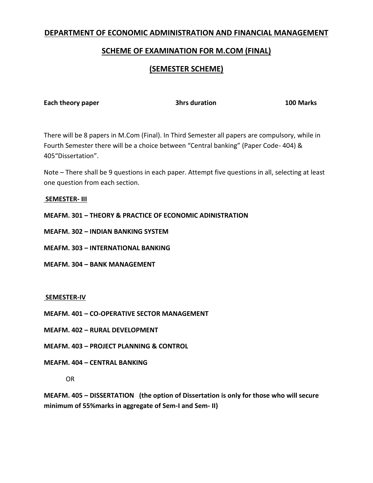# **DEPARTMENT OF ECONOMIC ADMINISTRATION AND FINANCIAL MANAGEMENT**

# **SCHEME OF EXAMINATION FOR M.COM (FINAL)**

# **(SEMESTER SCHEME)**

**Each theory paper 3hrs duration 100 Marks**

There will be 8 papers in M.Com (Final). In Third Semester all papers are compulsory, while in Fourth Semester there will be a choice between "Central banking" (Paper Code- 404) & 405"Dissertation".

Note – There shall be 9 questions in each paper. Attempt five questions in all, selecting at least one question from each section.

#### **SEMESTER- III**

**MEAFM. 301 – THEORY & PRACTICE OF ECONOMIC ADINISTRATION**

**MEAFM. 302 – INDIAN BANKING SYSTEM**

**MEAFM. 303 – INTERNATIONAL BANKING**

**MEAFM. 304 – BANK MANAGEMENT**

#### **SEMESTER-IV**

**MEAFM. 401 – CO-OPERATIVE SECTOR MANAGEMENT**

**MEAFM. 402 – RURAL DEVELOPMENT**

**MEAFM. 403 – PROJECT PLANNING & CONTROL**

#### **MEAFM. 404 – CENTRAL BANKING**

OR

**MEAFM. 405 – DISSERTATION (the option of Dissertation is only for those who will secure minimum of 55%marks in aggregate of Sem-I and Sem- II)**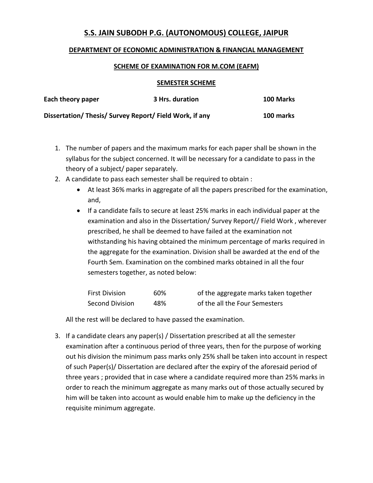# **S.S. JAIN SUBODH P.G. (AUTONOMOUS) COLLEGE, JAIPUR**

### **DEPARTMENT OF ECONOMIC ADMINISTRATION & FINANCIAL MANAGEMENT**

#### **SCHEME OF EXAMINATION FOR M.COM (EAFM)**

#### **SEMESTER SCHEME**

| Each theory paper                                       | 3 Hrs. duration | 100 Marks |
|---------------------------------------------------------|-----------------|-----------|
| Dissertation/ Thesis/ Survey Report/ Field Work, if any |                 | 100 marks |

- 1. The number of papers and the maximum marks for each paper shall be shown in the syllabus for the subject concerned. It will be necessary for a candidate to pass in the theory of a subject/ paper separately.
- 2. A candidate to pass each semester shall be required to obtain :
	- At least 36% marks in aggregate of all the papers prescribed for the examination, and,
	- If a candidate fails to secure at least 25% marks in each individual paper at the examination and also in the Dissertation/ Survey Report// Field Work , wherever prescribed, he shall be deemed to have failed at the examination not withstanding his having obtained the minimum percentage of marks required in the aggregate for the examination. Division shall be awarded at the end of the Fourth Sem. Examination on the combined marks obtained in all the four semesters together, as noted below:

| <b>First Division</b>  | 60% | of the aggregate marks taken together |
|------------------------|-----|---------------------------------------|
| <b>Second Division</b> | 48% | of the all the Four Semesters         |

All the rest will be declared to have passed the examination.

3. If a candidate clears any paper(s) / Dissertation prescribed at all the semester examination after a continuous period of three years, then for the purpose of working out his division the minimum pass marks only 25% shall be taken into account in respect of such Paper(s)/ Dissertation are declared after the expiry of the aforesaid period of three years ; provided that in case where a candidate required more than 25% marks in order to reach the minimum aggregate as many marks out of those actually secured by him will be taken into account as would enable him to make up the deficiency in the requisite minimum aggregate.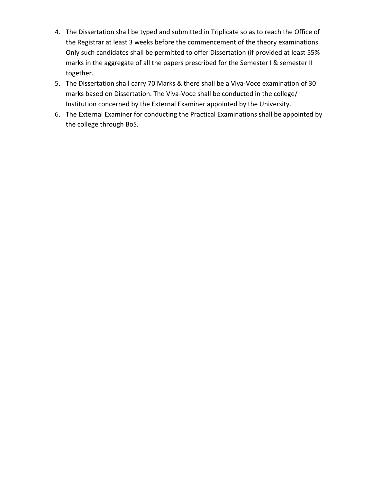- 4. The Dissertation shall be typed and submitted in Triplicate so as to reach the Office of the Registrar at least 3 weeks before the commencement of the theory examinations. Only such candidates shall be permitted to offer Dissertation (if provided at least 55% marks in the aggregate of all the papers prescribed for the Semester I & semester II together.
- 5. The Dissertation shall carry 70 Marks & there shall be a Viva-Voce examination of 30 marks based on Dissertation. The Viva-Voce shall be conducted in the college/ Institution concerned by the External Examiner appointed by the University.
- 6. The External Examiner for conducting the Practical Examinations shall be appointed by the college through BoS.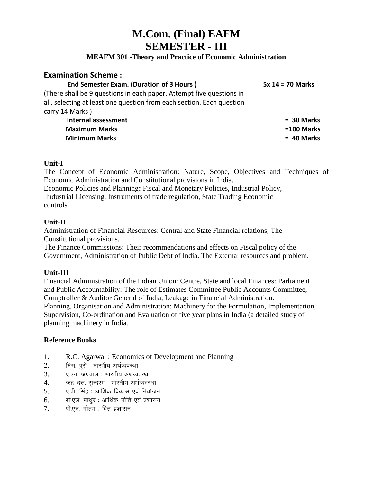# **M.Com. (Final) EAFM SEMESTER - III**

# **MEAFM 301 -Theory and Practice of Economic Administration**

# **Examination Scheme :**

#### **End Semester Exam. (Duration of 3 Hours ) 5x 14 = 70 Marks**

(There shall be 9 questions in each paper. Attempt five questions in all, selecting at least one question from each section. Each question carry 14 Marks ) **Internal assessment = 30 Marks**

**Maximum Marks =100 Marks Minimum Marks = 40 Marks**

### **Unit-I**

The Concept of Economic Administration: Nature, Scope, Objectives and Techniques of Economic Administration and Constitutional provisions in India.

Economic Policies and Planning**:** Fiscal and Monetary Policies, Industrial Policy, Industrial Licensing, Instruments of trade regulation, State Trading Economic controls.

### **Unit-II**

Administration of Financial Resources: Central and State Financial relations, The Constitutional provisions.

The Finance Commissions: Their recommendations and effects on Fiscal policy of the Government, Administration of Public Debt of India. The External resources and problem.

# **Unit-III**

Financial Administration of the Indian Union: Centre, State and local Finances: Parliament and Public Accountability: The role of Estimates Committee Public Accounts Committee, Comptroller & Auditor General of India, Leakage in Financial Administration. Planning, Organisation and Administration: Machinery for the Formulation, Implementation, Supervision, Co-ordination and Evaluation of five year plans in India (a detailed study of planning machinery in India.

- 1. R.C. Agarwal : Economics of Development and Planning
- 2. मिश्र, पूरी : भारतीय अर्थव्यवस्था
- 3. ए.एन. अग्रवाल : भारतीय अर्थव्यवस्था
- 4. ज्ञ दत्त, सुन्दरम: भारतीय अर्थव्यवस्था
- $5.$  , ए.पी. सिंह : आर्थिक विकास एवं नियोजन
- $6.$  and  $\sqrt{q}$  and  $\sqrt{q}$  is and  $\sqrt{q}$  and  $\sqrt{q}$  in  $\sqrt{q}$
- $7.$  पी.एन. गौतम: वित्त प्रशासन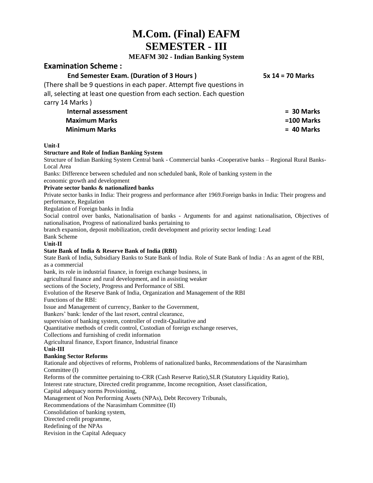# **M.Com. (Final) EAFM SEMESTER - III**

#### **MEAFM 302 - Indian Banking System**

## **Examination Scheme :**

#### **End Semester Exam. (Duration of 3 Hours ) 5x 14 = 70 Marks**

(There shall be 9 questions in each paper. Attempt five questions in all, selecting at least one question from each section. Each question carry 14 Marks )

> **Internal assessment = 30 Marks Maximum Marks =100 Marks Minimum Marks = 40 Marks**

#### **Unit-I**

#### **Structure and Role of Indian Banking System**

Structure of Indian Banking System Central bank - Commercial banks -Cooperative banks – Regional Rural Banks-Local Area

Banks: Difference between scheduled and non scheduled bank, Role of banking system in the

economic growth and development

#### **Private sector banks & nationalized banks**

Private sector banks in India: Their progress and performance after 1969.Foreign banks in India: Their progress and performance, Regulation

Regulation of Foreign banks in India

Social control over banks, Nationalisation of banks - Arguments for and against nationalisation, Objectives of nationalisation, Progress of nationalized banks pertaining to

branch expansion, deposit mobilization, credit development and priority sector lending: Lead

Bank Scheme

**Unit-II**

#### **State Bank of India & Reserve Bank of India (RBI)**

State Bank of India, Subsidiary Banks to State Bank of India. Role of State Bank of India : As an agent of the RBI, as a commercial

bank, its role in industrial finance, in foreign exchange business, in

agricultural finance and rural development, and in assisting weaker

sections of the Society, Progress and Performance of SBI.

Evolution of the Reserve Bank of India, Organization and Management of the RBI

Functions of the RBI:

Issue and Management of currency, Banker to the Government,

Bankers' bank: lender of the last resort, central clearance,

supervision of banking system, controller of credit-Qualitative and

Quantitative methods of credit control, Custodian of foreign exchange reserves,

Collections and furnishing of credit information

Agricultural finance, Export finance, Industrial finance

#### **Unit-III**

#### **Banking Sector Reforms**

Rationale and objectives of reforms, Problems of nationalized banks, Recommendations of the Narasimham Committee (I)

Reforms of the committee pertaining to-CRR (Cash Reserve Ratio), SLR (Statutory Liquidity Ratio),

Interest rate structure, Directed credit programme, Income recognition, Asset classification,

Capital adequacy norms Provisioning,

Management of Non Performing Assets (NPAs), Debt Recovery Tribunals,

Recommendations of the Narasimham Committee (II)

Consolidation of banking system,

Directed credit programme,

Redefining of the NPAs

Revision in the Capital Adequacy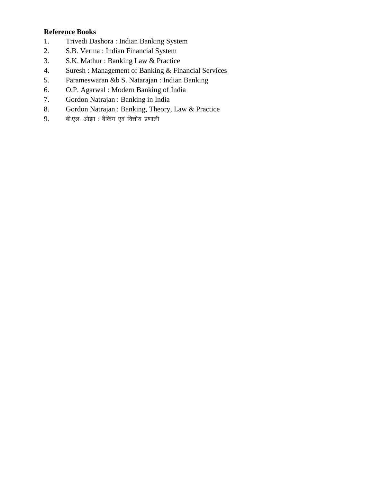- 1. Trivedi Dashora : Indian Banking System
- 2. S.B. Verma : Indian Financial System
- 3. S.K. Mathur : Banking Law & Practice
- 4. Suresh : Management of Banking & Financial Services
- 5. Parameswaran &b S. Natarajan : Indian Banking
- 6. O.P. Agarwal : Modern Banking of India
- 7. Gordon Natrajan : Banking in India
- 8. Gordon Natrajan : Banking, Theory, Law & Practice
- 9. बी.एल. ओझा : बैंकिंग एवं वित्तीय प्रणाली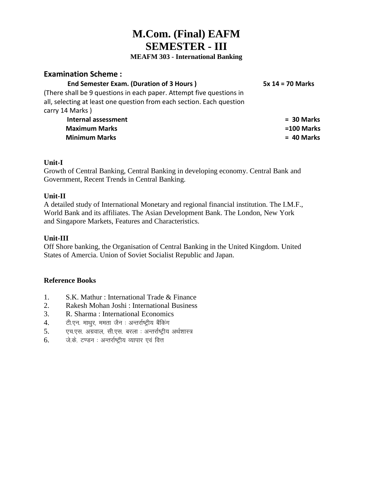# **M.Com. (Final) EAFM SEMESTER - III**

#### **MEAFM 303 - International Banking**

# **Examination Scheme :**

#### **End Semester Exam. (Duration of 3 Hours ) 5x 14 = 70 Marks**

(There shall be 9 questions in each paper. Attempt five questions in all, selecting at least one question from each section. Each question carry 14 Marks )

> **Internal assessment = 30 Marks Maximum Marks =100 Marks Minimum Marks = 40 Marks**

### **Unit-I**

Growth of Central Banking, Central Banking in developing economy. Central Bank and Government, Recent Trends in Central Banking.

### **Unit-II**

A detailed study of International Monetary and regional financial institution. The I.M.F., World Bank and its affiliates. The Asian Development Bank. The London, New York and Singapore Markets, Features and Characteristics.

# **Unit-III**

Off Shore banking, the Organisation of Central Banking in the United Kingdom. United States of Amercia. Union of Soviet Socialist Republic and Japan.

- 1. S.K. Mathur : International Trade & Finance
- 2. Rakesh Mohan Joshi : International Business
- 3. R. Sharma : International Economics
- 4. टी.एन. माथुर, ममता जैन : अन्तर्राष्ट्रीय बैंकिंग
- $5.$  एच.एस. अग्रवाल, सी.एस. बरला : अन्तर्राष्ट्रीय अर्थशास्त्र
- $6.$  प्लेके टण्डन : अन्तर्राष्टीय व्यापार एवं वित्त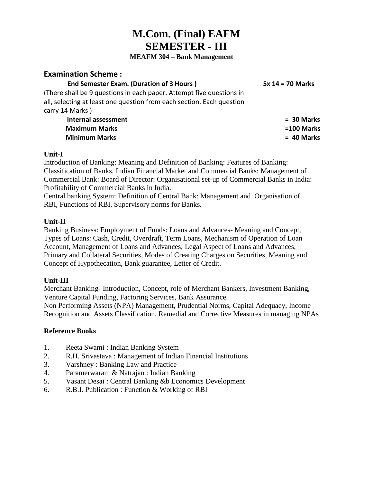# **M.Com. (Final) EAFM SEMESTER - III**

 **MEAFM 304 – Bank Management**

# **Examination Scheme :**

# **End Semester Exam. (Duration of 3 Hours ) 5x 14 = 70 Marks**

(There shall be 9 questions in each paper. Attempt five questions in all, selecting at least one question from each section. Each question carry 14 Marks )

> **Internal assessment = 30 Marks Maximum Marks =100 Marks Minimum Marks = 40 Marks**

### **Unit-I**

Introduction of Banking: Meaning and Definition of Banking: Features of Banking: Classification of Banks, Indian Financial Market and Commercial Banks: Management of Commercial Bank: Board of Director: Organisational set-up of Commercial Banks in India: Profitability of Commercial Banks in India.

Central banking System: Definition of Central Bank: Management and Organisation of RBI, Functions of RBI, Supervisory norms for Banks.

# **Unit-II**

Banking Business: Employment of Funds: Loans and Advances- Meaning and Concept, Types of Loans: Cash, Credit, Overdraft, Term Loans, Mechanism of Operation of Loan Account, Management of Loans and Advances; Legal Aspect of Loans and Advances, Primary and Collateral Securities, Modes of Creating Charges on Securities, Meaning and Concept of Hypothecation, Bank guarantee, Letter of Credit.

# **Unit-III**

Merchant Banking- Introduction, Concept, role of Merchant Bankers, Investment Banking, Venture Capital Funding, Factoring Services, Bank Assurance.

Non Performing Assets (NPA) Management, Prudential Norms, Capital Adequacy, Income Recognition and Assets Classification, Remedial and Corrective Measures in managing NPAs

- 1. Reeta Swami : Indian Banking System
- 2. R.H. Srivastava : Management of Indian Financial Institutions
- 3. Varshney : Banking Law and Practice
- 4. Paramerwaram & Natrajan : Indian Banking
- 5. Vasant Desai : Central Banking &b Economics Development
- 6. R.B.I. Publication : Function & Working of RBI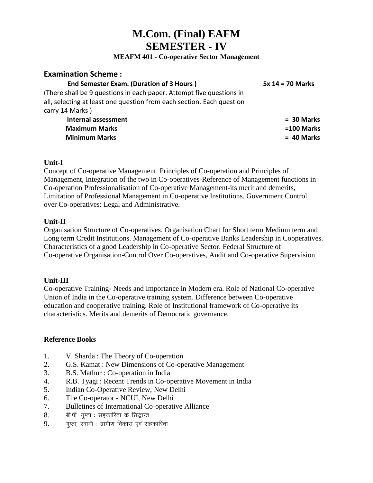# **M.Com. (Final) EAFM SEMESTER - IV**

**MEAFM 401 - Co-operative Sector Management**

# **Examination Scheme :**

# **End Semester Exam. (Duration of 3 Hours ) 5x 14 = 70 Marks**

(There shall be 9 questions in each paper. Attempt five questions in all, selecting at least one question from each section. Each question carry 14 Marks )

> **Internal assessment = 30 Marks Maximum Marks =100 Marks Minimum Marks = 40 Marks**

# **Unit-I**

Concept of Co-operative Management. Principles of Co-operation and Principles of Management, Integration of the two in Co-operatives-Reference of Management functions in Co-operation Professionalisation of Co-operative Management-its merit and demerits, Limitation of Professional Management in Co-operative Institutions. Government Control over Co-operatives: Legal and Administrative.

# **Unit-II**

Organisation Structure of Co-operatives. Organisation Chart for Short term Medium term and Long term Credit Institutions. Management of Co-operative Banks Leadership in Cooperatives. Characteristics of a good Leadership in Co-operative Sector. Federal Structure of Co-operative Organisation-Control Over Co-operatives, Audit and Co-operative Supervision.

# **Unit-III**

Co-operative Training- Needs and Importance in Modern era. Role of National Co-operative Union of India in the Co-operative training system. Difference between Co-operative education and cooperative training. Role of Institutional framework of Co-operative its characteristics. Merits and demerits of Democratic governance.

- 1. V. Sharda : The Theory of Co-operation
- 2. G.S. Kamat : New Dimensions of Co-operative Management
- 3. B.S. Mathur : Co-operation in India
- 4. R.B. Tyagi : Recent Trends in Co-operative Movement in India
- 5. Indian Co-Operative Review, New Delhi
- 6. The Co-operator NCUI, New Delhi
- 7. Bulletines of International Co-operative Alliance
- 8. बी.पी. गुप्ता : सहकारिता के सिद्धान्त
- $9.$  गुप्ता, स्वामी : ग्रामीण विकास एवं सहकारिता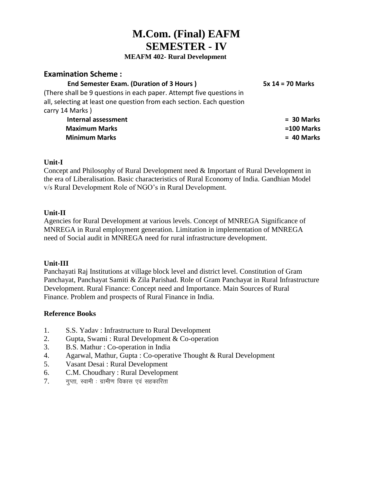# **M.Com. (Final) EAFM SEMESTER - IV**

#### **MEAFM 402- Rural Development**

# **Examination Scheme :**

# **End Semester Exam. (Duration of 3 Hours ) 5x 14 = 70 Marks**

(There shall be 9 questions in each paper. Attempt five questions in all, selecting at least one question from each section. Each question carry 14 Marks )

> **Internal assessment = 30 Marks Maximum Marks =100 Marks Minimum Marks = 40 Marks**

# **Unit-I**

Concept and Philosophy of Rural Development need & Important of Rural Development in the era of Liberalisation. Basic characteristics of Rural Economy of India. Gandhian Model v/s Rural Development Role of NGO's in Rural Development.

### **Unit-II**

Agencies for Rural Development at various levels. Concept of MNREGA Significance of MNREGA in Rural employment generation. Limitation in implementation of MNREGA need of Social audit in MNREGA need for rural infrastructure development.

#### **Unit-III**

Panchayati Raj Institutions at village block level and district level. Constitution of Gram Panchayat, Panchayat Samiti & Zila Parishad. Role of Gram Panchayat in Rural Infrastructure Development. Rural Finance: Concept need and Importance. Main Sources of Rural Finance. Problem and prospects of Rural Finance in India.

- 1. S.S. Yadav : Infrastructure to Rural Development
- 2. Gupta, Swami : Rural Development & Co-operation
- 3. B.S. Mathur : Co-operation in India
- 4. Agarwal, Mathur, Gupta : Co-operative Thought & Rural Development
- 5. Vasant Desai : Rural Development
- 6. C.M. Choudhary : Rural Development
- $7.$  गुप्ता, स्वामी : ग्रामीण विकास एवं सहकारिता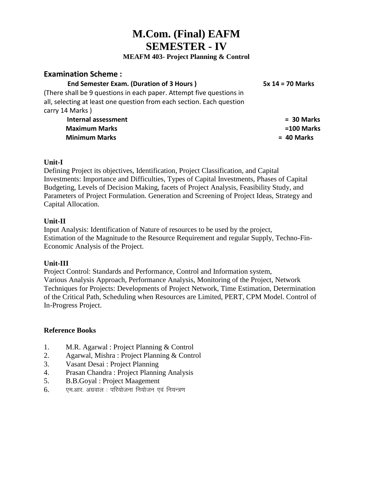# **M.Com. (Final) EAFM SEMESTER - IV**

## **MEAFM 403- Project Planning & Control**

# **Examination Scheme :**

## **End Semester Exam. (Duration of 3 Hours ) 5x 14 = 70 Marks**

(There shall be 9 questions in each paper. Attempt five questions in all, selecting at least one question from each section. Each question carry 14 Marks )

> **Internal assessment = 30 Marks Maximum Marks =100 Marks Minimum Marks = 40 Marks**

# **Unit-I**

Defining Project its objectives, Identification, Project Classification, and Capital Investments: Importance and Difficulties, Types of Capital Investments, Phases of Capital Budgeting, Levels of Decision Making, facets of Project Analysis, Feasibility Study, and Parameters of Project Formulation. Generation and Screening of Project Ideas, Strategy and Capital Allocation.

### **Unit-II**

Input Analysis: Identification of Nature of resources to be used by the project, Estimation of the Magnitude to the Resource Requirement and regular Supply, Techno-Fin-Economic Analysis of the Project.

#### **Unit-III**

Project Control: Standards and Performance, Control and Information system, Various Analysis Approach, Performance Analysis, Monitoring of the Project, Network Techniques for Projects: Developments of Project Network, Time Estimation, Determination of the Critical Path, Scheduling when Resources are Limited, PERT, CPM Model. Control of In-Progress Project.

- 1. M.R. Agarwal : Project Planning & Control
- 2. Agarwal, Mishra : Project Planning & Control
- 3. Vasant Desai : Project Planning
- 4. Prasan Chandra : Project Planning Analysis
- 5. B.B.Goyal : Project Maagement
- $6.$  एम.आर. अग्रवाल : परियोजना नियोजन एवं नियन्त्रण